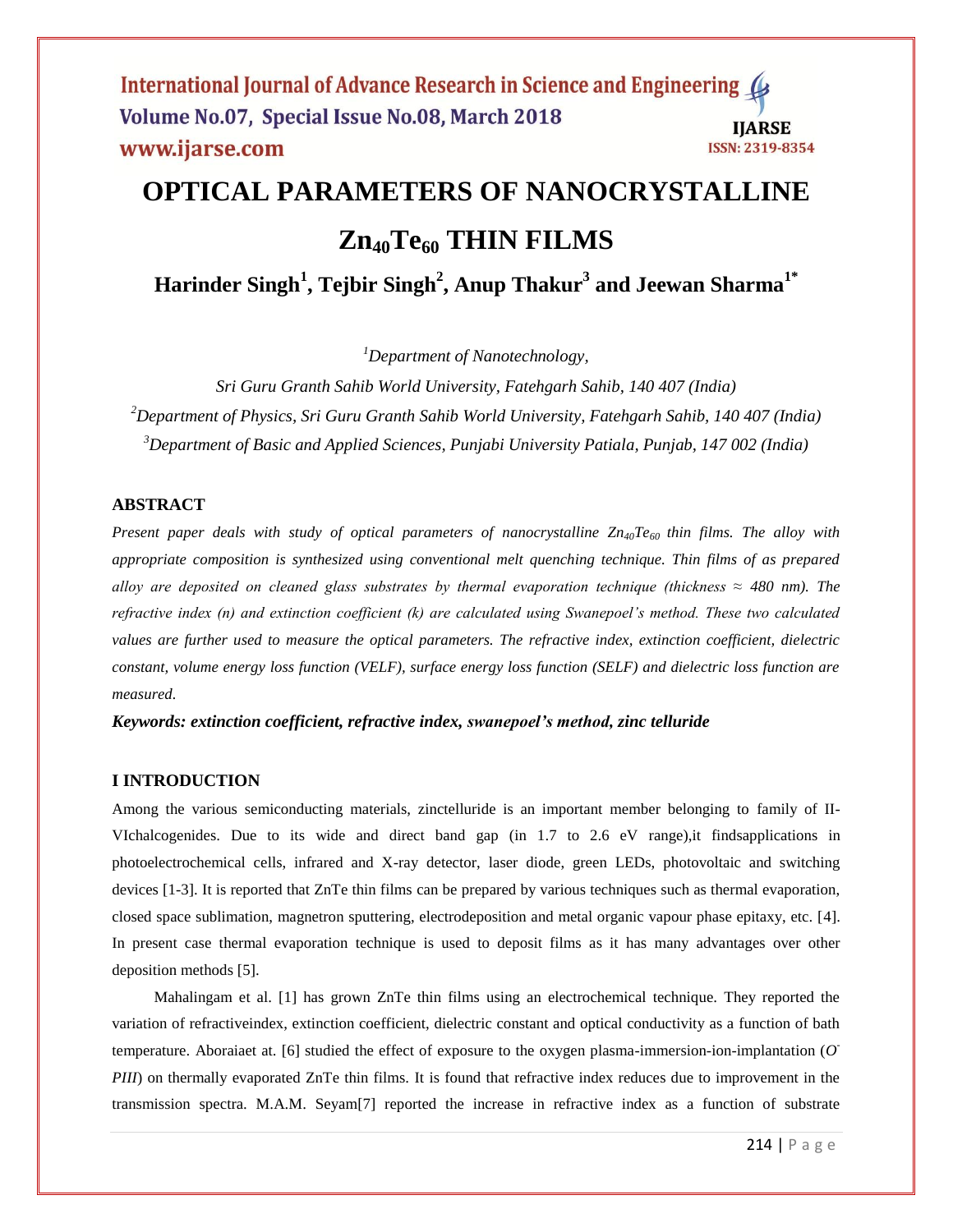International Journal of Advance Research in Science and Engineering ( Volume No.07, Special Issue No.08, March 2018 **IJARSE** www.ijarse.com ISSN: 2319-8354

# **OPTICAL PARAMETERS OF NANOCRYSTALLINE Zn40Te<sup>60</sup> THIN FILMS**

**Harinder Singh<sup>1</sup> , Tejbir Singh<sup>2</sup> , Anup Thakur<sup>3</sup> and Jeewan Sharma1\***

*<sup>1</sup>Department of Nanotechnology,* 

*Sri Guru Granth Sahib World University, Fatehgarh Sahib, 140 407 (India) <sup>2</sup>Department of Physics, Sri Guru Granth Sahib World University, Fatehgarh Sahib, 140 407 (India) <sup>3</sup>Department of Basic and Applied Sciences, Punjabi University Patiala, Punjab, 147 002 (India)*

### **ABSTRACT**

*Present paper deals with study of optical parameters of nanocrystalline Zn40Te60 thin films. The alloy with appropriate composition is synthesized using conventional melt quenching technique. Thin films of as prepared alloy are deposited on cleaned glass substrates by thermal evaporation technique (thickness*  $\approx$  *480 nm). The refractive index (n) and extinction coefficient (k) are calculated using Swanepoel's method. These two calculated values are further used to measure the optical parameters. The refractive index, extinction coefficient, dielectric constant, volume energy loss function (VELF), surface energy loss function (SELF) and dielectric loss function are measured.* 

*Keywords: extinction coefficient, refractive index, swanepoel's method, zinc telluride*

#### **I INTRODUCTION**

Among the various semiconducting materials, zinctelluride is an important member belonging to family of II-VIchalcogenides. Due to its wide and direct band gap (in 1.7 to 2.6 eV range),it findsapplications in photoelectrochemical cells, infrared and X-ray detector, laser diode, green LEDs, photovoltaic and switching devices [1-3]. It is reported that ZnTe thin films can be prepared by various techniques such as thermal evaporation, closed space sublimation, magnetron sputtering, electrodeposition and metal organic vapour phase epitaxy, etc. [4]. In present case thermal evaporation technique is used to deposit films as it has many advantages over other deposition methods [5].

Mahalingam et al. [1] has grown ZnTe thin films using an electrochemical technique. They reported the variation of refractiveindex, extinction coefficient, dielectric constant and optical conductivity as a function of bath temperature. Aboraiaet at. [6] studied the effect of exposure to the oxygen plasma-immersion-ion-implantation (*O - PIII*) on thermally evaporated ZnTe thin films. It is found that refractive index reduces due to improvement in the transmission spectra. M.A.M. Seyam[7] reported the increase in refractive index as a function of substrate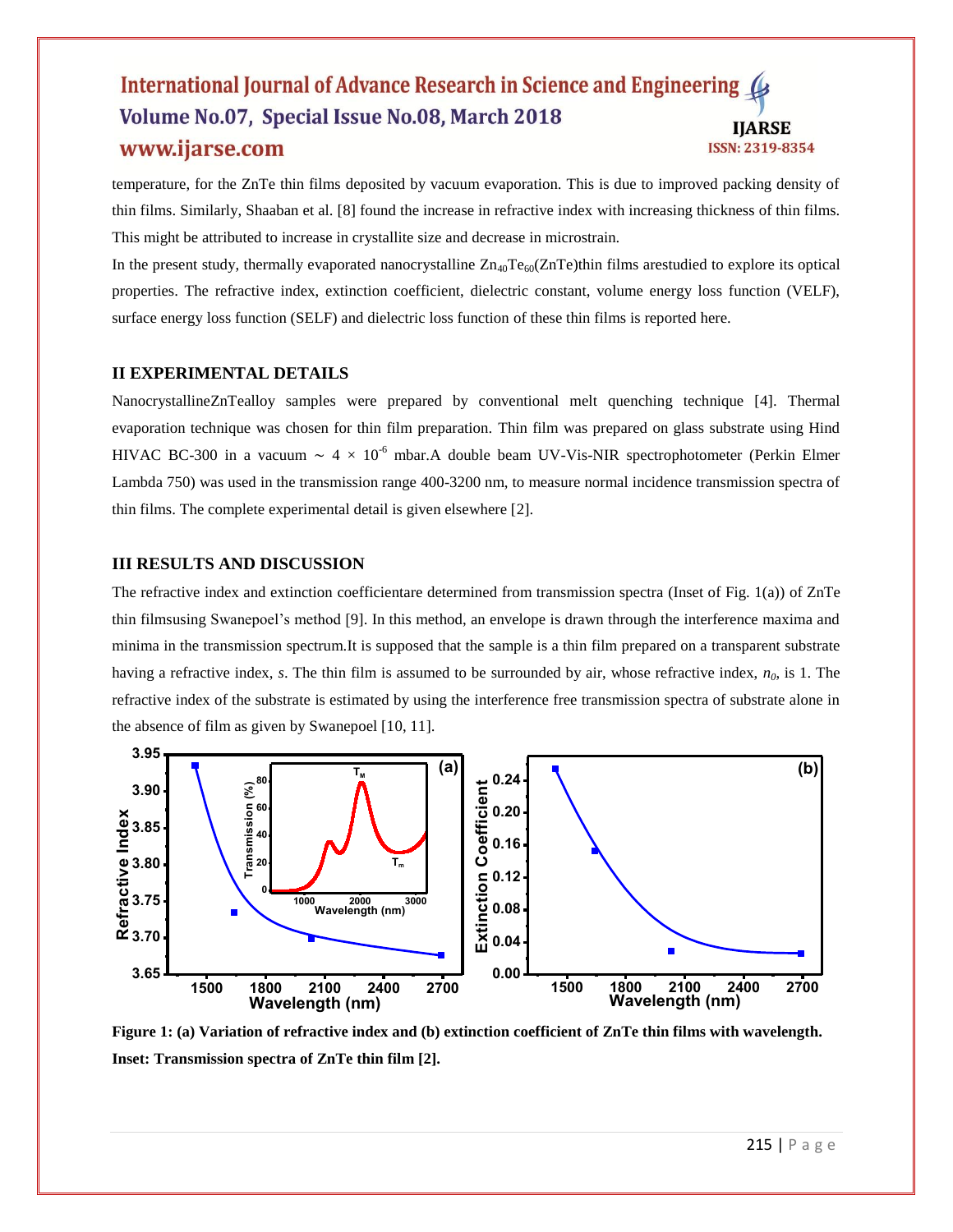#### International Journal of Advance Research in Science and Engineering Volume No.07, Special Issue No.08, March 2018 **IIARSE** www.ijarse.com ISSN: 2319-8354

temperature, for the ZnTe thin films deposited by vacuum evaporation. This is due to improved packing density of thin films. Similarly, Shaaban et al. [8] found the increase in refractive index with increasing thickness of thin films. This might be attributed to increase in crystallite size and decrease in microstrain.

In the present study, thermally evaporated nanocrystalline  $Zn_{40}Te_{60}(ZnTe)$ thin films arestudied to explore its optical properties. The refractive index, extinction coefficient, dielectric constant, volume energy loss function (VELF), surface energy loss function (SELF) and dielectric loss function of these thin films is reported here.

## **II EXPERIMENTAL DETAILS**

NanocrystallineZnTealloy samples were prepared by conventional melt quenching technique [4]. Thermal evaporation technique was chosen for thin film preparation. Thin film was prepared on glass substrate using Hind HIVAC BC-300 in a vacuum ~  $4 \times 10^{-6}$  mbar.A double beam UV-Vis-NIR spectrophotometer (Perkin Elmer Lambda 750) was used in the transmission range 400-3200 nm, to measure normal incidence transmission spectra of thin films. The complete experimental detail is given elsewhere [2].

## **III RESULTS AND DISCUSSION**

The refractive index and extinction coefficientare determined from transmission spectra (Inset of Fig. 1(a)) of ZnTe thin filmsusing Swanepoel's method [9]. In this method, an envelope is drawn through the interference maxima and minima in the transmission spectrum.It is supposed that the sample is a thin film prepared on a transparent substrate having a refractive index, *s*. The thin film is assumed to be surrounded by air, whose refractive index, *n0*, is 1. The refractive index of the substrate is estimated by using the interference free transmission spectra of substrate alone in the absence of film as given by Swanepoel [10, 11].



**Figure 1: (a) Variation of refractive index and (b) extinction coefficient of ZnTe thin films with wavelength. Inset: Transmission spectra of ZnTe thin film [2].**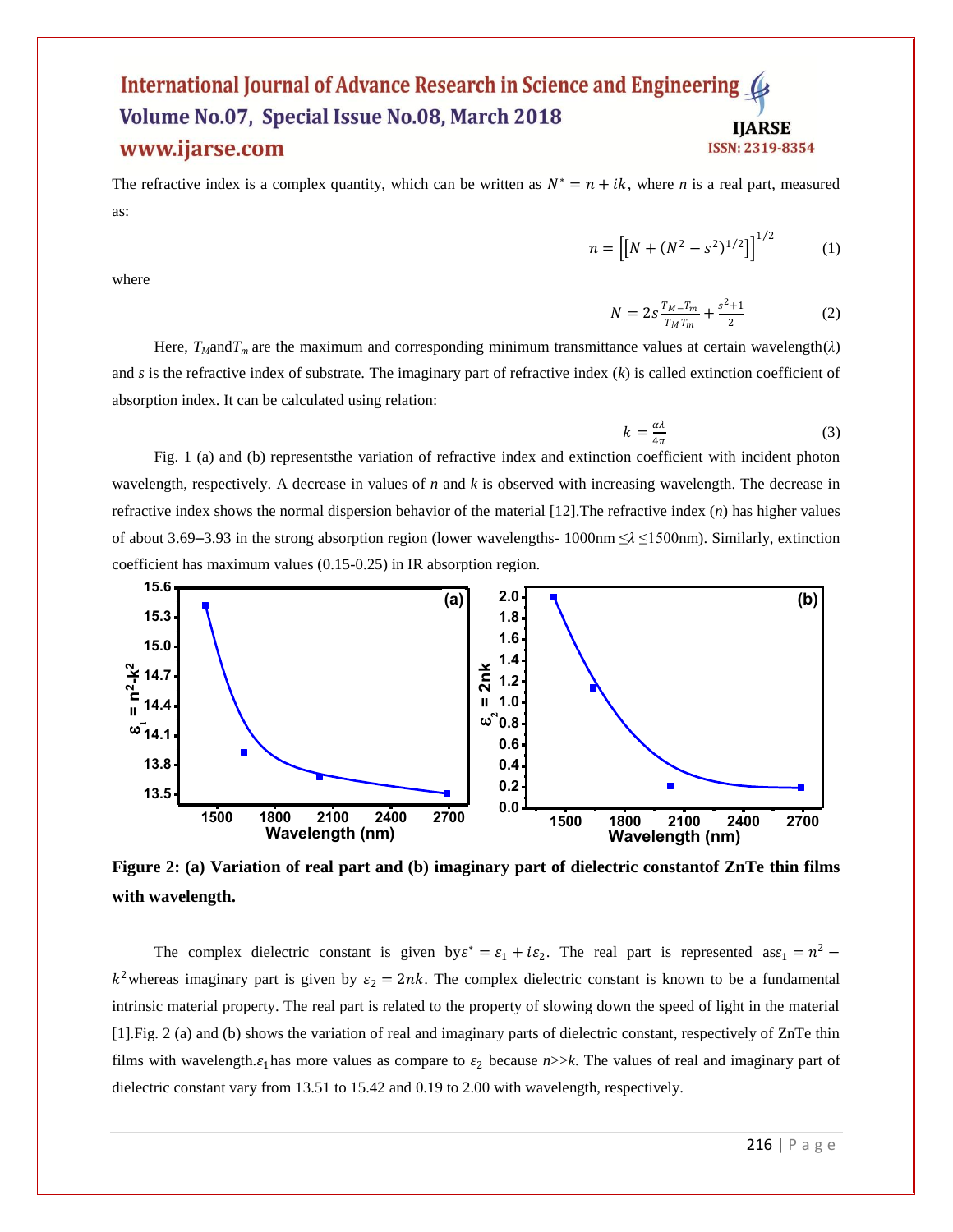#### International Journal of Advance Research in Science and Engineering Volume No.07, Special Issue No.08, March 2018 **IIARSE** www.ijarse.com ISSN: 2319-8354

The refractive index is a complex quantity, which can be written as  $N^* = n + ik$ , where *n* is a real part, measured as:

where

$$
n = \left[ \left[ N + (N^2 - s^2)^{1/2} \right] \right]^{1/2} \tag{1}
$$

$$
N = 2s \frac{T_{M} - T_{m}}{T_{M} T_{m}} + \frac{s^{2} + 1}{2}
$$
 (2)

Here,  $T_M$ and $T_m$  are the maximum and corresponding minimum transmittance values at certain wavelength( $\lambda$ ) and *s* is the refractive index of substrate. The imaginary part of refractive index (*k*) is called extinction coefficient of absorption index. It can be calculated using relation:

$$
k = \frac{a\lambda}{4\pi} \tag{3}
$$

Fig. 1 (a) and (b) representsthe variation of refractive index and extinction coefficient with incident photon wavelength, respectively. A decrease in values of *n* and *k* is observed with increasing wavelength. The decrease in refractive index shows the normal dispersion behavior of the material [12].The refractive index (*n*) has higher values of about 3.69–3.93 in the strong absorption region (lower wavelengths- 1000nm ≤*λ* ≤1500nm). Similarly, extinction coefficient has maximum values (0.15-0.25) in IR absorption region.



**Figure 2: (a) Variation of real part and (b) imaginary part of dielectric constantof ZnTe thin films with wavelength.**

The complex dielectric constant is given by  $\varepsilon^* = \varepsilon_1 + i\varepsilon_2$ . The real part is represented as  $\varepsilon_1 = n^2$  $k^2$ whereas imaginary part is given by  $\varepsilon_2 = 2nk$ . The complex dielectric constant is known to be a fundamental intrinsic material property. The real part is related to the property of slowing down the speed of light in the material [1].Fig. 2 (a) and (b) shows the variation of real and imaginary parts of dielectric constant, respectively of ZnTe thin films with wavelength. $\varepsilon_1$  has more values as compare to  $\varepsilon_2$  because  $n>>k$ . The values of real and imaginary part of dielectric constant vary from 13.51 to 15.42 and 0.19 to 2.00 with wavelength, respectively.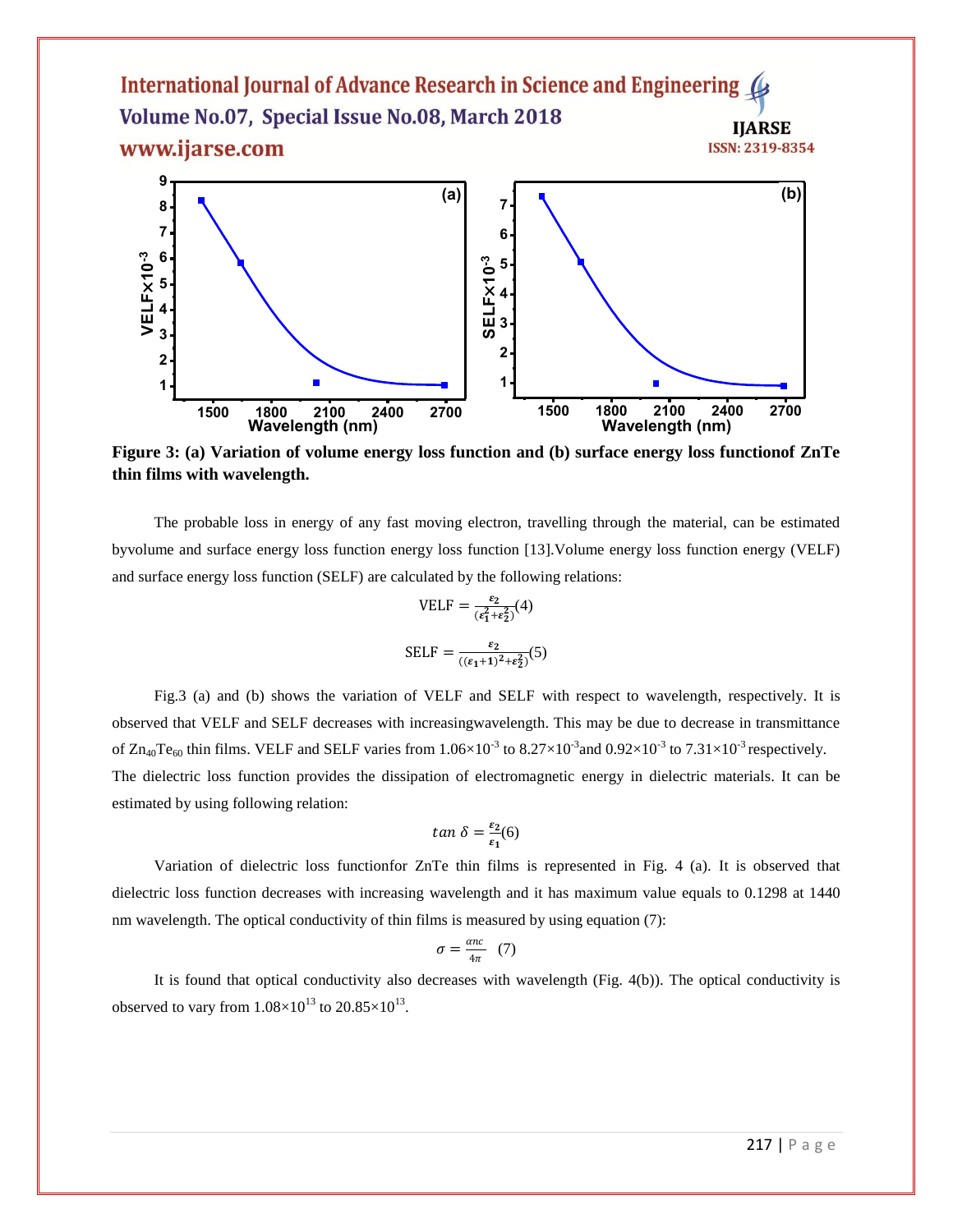



**Figure 3: (a) Variation of volume energy loss function and (b) surface energy loss functionof ZnTe thin films with wavelength.**

The probable loss in energy of any fast moving electron, travelling through the material, can be estimated byvolume and surface energy loss function energy loss function [13].Volume energy loss function energy (VELF) and surface energy loss function (SELF) are calculated by the following relations:

$$
VELF = \frac{\varepsilon_2}{(\varepsilon_1^2 + \varepsilon_2^2)}(4)
$$

$$
SELF = \frac{\varepsilon_2}{((\varepsilon_1 + 1)^2 + \varepsilon_2^2)}(5)
$$

Fig.3 (a) and (b) shows the variation of VELF and SELF with respect to wavelength, respectively. It is observed that VELF and SELF decreases with increasingwavelength. This may be due to decrease in transmittance of  $\rm Zn_{40}Te_{60}$  thin films. VELF and SELF varies from 1.06×10<sup>-3</sup> to 8.27×10<sup>-3</sup> and 0.92×10<sup>-3</sup> to 7.31×10<sup>-3</sup> respectively. The dielectric loss function provides the dissipation of electromagnetic energy in dielectric materials. It can be estimated by using following relation:

$$
tan \delta = \frac{\varepsilon_2}{\varepsilon_1}(6)
$$

Variation of dielectric loss functionfor ZnTe thin films is represented in Fig. 4 (a). It is observed that dielectric loss function decreases with increasing wavelength and it has maximum value equals to 0.1298 at 1440 nm wavelength. The optical conductivity of thin films is measured by using equation (7):

$$
\sigma = \frac{\alpha n c}{4\pi} \quad (7)
$$

It is found that optical conductivity also decreases with wavelength (Fig. 4(b)). The optical conductivity is observed to vary from  $1.08\times10^{13}$  to  $20.85\times10^{13}$ .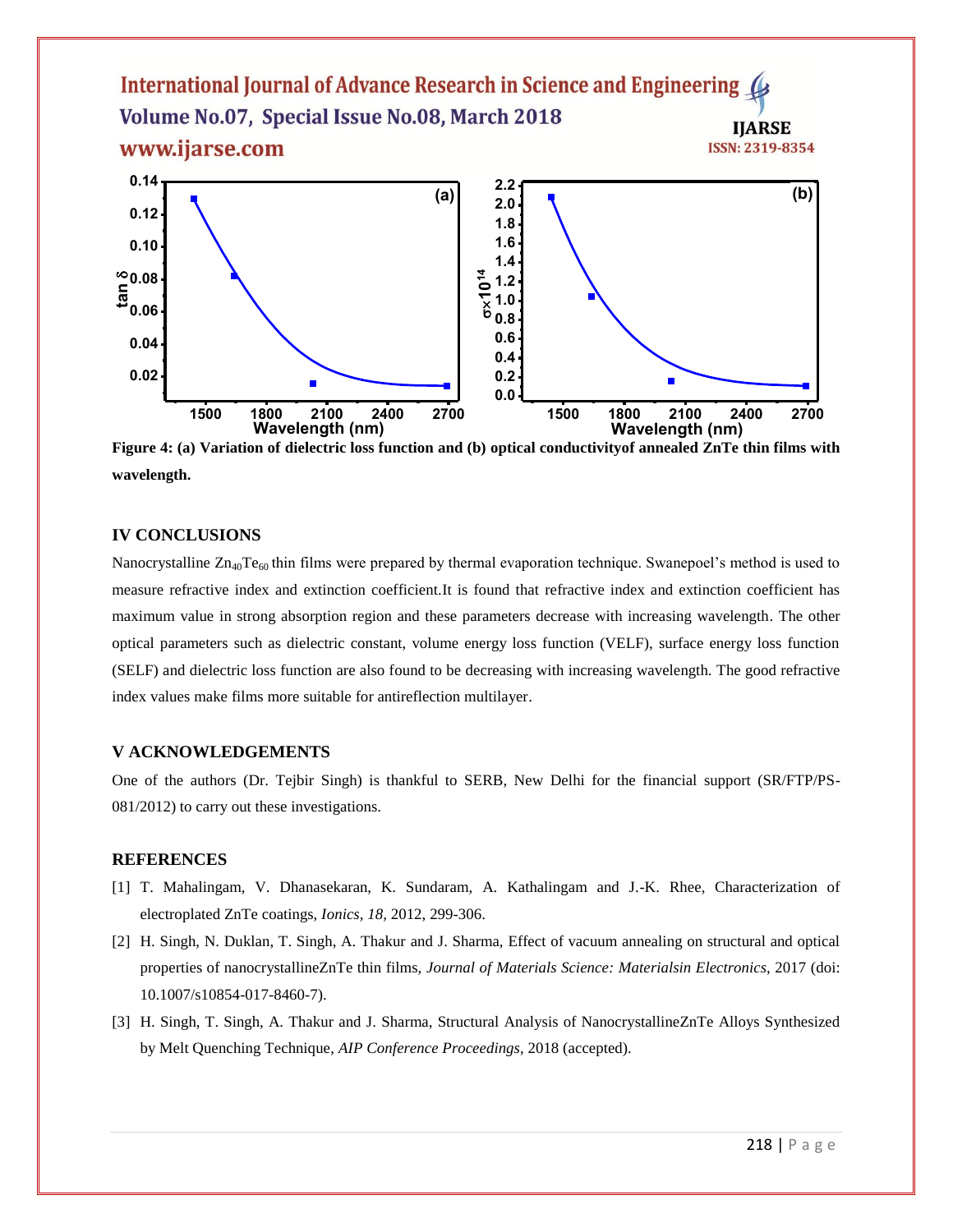

**Wavelength (nm) Wavelength (nm) Figure 4: (a) Variation of dielectric loss function and (b) optical conductivityof annealed ZnTe thin films with wavelength.**

#### **IV CONCLUSIONS**

Nanocrystalline  $Zn_{40}Te_{60}$  thin films were prepared by thermal evaporation technique. Swanepoel's method is used to measure refractive index and extinction coefficient.It is found that refractive index and extinction coefficient has maximum value in strong absorption region and these parameters decrease with increasing wavelength. The other optical parameters such as dielectric constant, volume energy loss function (VELF), surface energy loss function (SELF) and dielectric loss function are also found to be decreasing with increasing wavelength. The good refractive index values make films more suitable for antireflection multilayer.

## **V ACKNOWLEDGEMENTS**

One of the authors (Dr. Tejbir Singh) is thankful to SERB, New Delhi for the financial support (SR/FTP/PS-081/2012) to carry out these investigations.

#### **REFERENCES**

- [1] T. Mahalingam, V. Dhanasekaran, K. Sundaram, A. Kathalingam and J.-K. Rhee, Characterization of electroplated ZnTe coatings, *Ionics, 18,* 2012, 299-306.
- [2] H. Singh, N. Duklan, T. Singh, A. Thakur and J. Sharma, Effect of vacuum annealing on structural and optical properties of nanocrystallineZnTe thin films, *Journal of Materials Science: Materialsin Electronics*, 2017 (doi: 10.1007/s10854-017-8460-7).
- [3] H. Singh, T. Singh, A. Thakur and J. Sharma, Structural Analysis of NanocrystallineZnTe Alloys Synthesized by Melt Quenching Technique, *AIP Conference Proceedings*, 2018 (accepted).